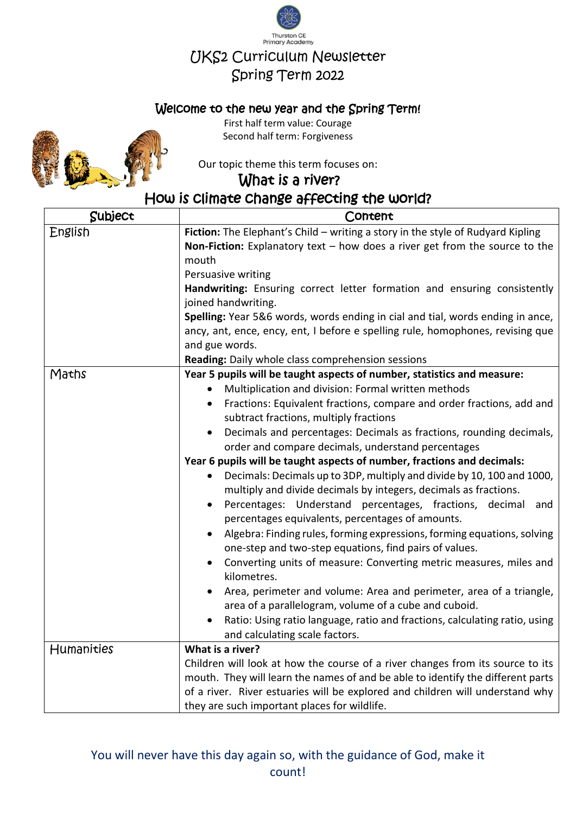

## Welcome to the new year and the Spring Term!



First half term value: Courage Second half term: Forgiveness

Our topic theme this term focuses on:

What is a river?

[How](http://pngimg.com/download/23221) is climate change affecting the world?

| Subject    | Content                                                                                                                         |
|------------|---------------------------------------------------------------------------------------------------------------------------------|
| English    | Fiction: The Elephant's Child - writing a story in the style of Rudyard Kipling                                                 |
|            | Non-Fiction: Explanatory text $-$ how does a river get from the source to the                                                   |
|            | mouth                                                                                                                           |
|            | Persuasive writing                                                                                                              |
|            | Handwriting: Ensuring correct letter formation and ensuring consistently                                                        |
|            | joined handwriting.                                                                                                             |
|            | Spelling: Year 5&6 words, words ending in cial and tial, words ending in ance,                                                  |
|            | ancy, ant, ence, ency, ent, I before e spelling rule, homophones, revising que                                                  |
|            | and gue words.                                                                                                                  |
|            | Reading: Daily whole class comprehension sessions                                                                               |
| Maths      | Year 5 pupils will be taught aspects of number, statistics and measure:                                                         |
|            | Multiplication and division: Formal written methods<br>$\bullet$                                                                |
|            | Fractions: Equivalent fractions, compare and order fractions, add and<br>$\bullet$                                              |
|            | subtract fractions, multiply fractions                                                                                          |
|            | Decimals and percentages: Decimals as fractions, rounding decimals,<br>$\bullet$                                                |
|            | order and compare decimals, understand percentages                                                                              |
|            | Year 6 pupils will be taught aspects of number, fractions and decimals:                                                         |
|            | Decimals: Decimals up to 3DP, multiply and divide by 10, 100 and 1000,                                                          |
|            | multiply and divide decimals by integers, decimals as fractions.                                                                |
|            | Percentages: Understand percentages, fractions, decimal<br>and<br>$\bullet$<br>percentages equivalents, percentages of amounts. |
|            | Algebra: Finding rules, forming expressions, forming equations, solving                                                         |
|            | one-step and two-step equations, find pairs of values.                                                                          |
|            | Converting units of measure: Converting metric measures, miles and                                                              |
|            | kilometres.                                                                                                                     |
|            | Area, perimeter and volume: Area and perimeter, area of a triangle,                                                             |
|            | area of a parallelogram, volume of a cube and cuboid.                                                                           |
|            | Ratio: Using ratio language, ratio and fractions, calculating ratio, using                                                      |
|            | and calculating scale factors.                                                                                                  |
| Humanities | What is a river?                                                                                                                |
|            | Children will look at how the course of a river changes from its source to its                                                  |
|            | mouth. They will learn the names of and be able to identify the different parts                                                 |
|            | of a river. River estuaries will be explored and children will understand why                                                   |
|            | they are such important places for wildlife.                                                                                    |